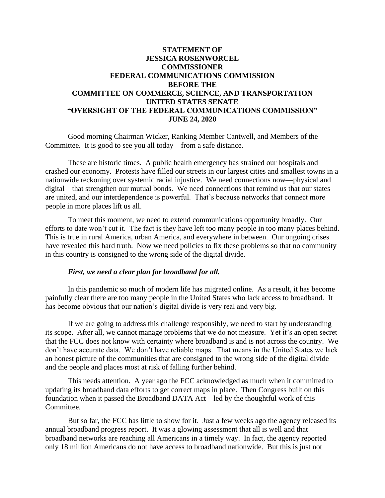# **STATEMENT OF JESSICA ROSENWORCEL COMMISSIONER FEDERAL COMMUNICATIONS COMMISSION BEFORE THE COMMITTEE ON COMMERCE, SCIENCE, AND TRANSPORTATION UNITED STATES SENATE "OVERSIGHT OF THE FEDERAL COMMUNICATIONS COMMISSION" JUNE 24, 2020**

Good morning Chairman Wicker, Ranking Member Cantwell, and Members of the Committee. It is good to see you all today—from a safe distance.

These are historic times. A public health emergency has strained our hospitals and crashed our economy. Protests have filled our streets in our largest cities and smallest towns in a nationwide reckoning over systemic racial injustice. We need connections now—physical and digital—that strengthen our mutual bonds. We need connections that remind us that our states are united, and our interdependence is powerful. That's because networks that connect more people in more places lift us all.

To meet this moment, we need to extend communications opportunity broadly. Our efforts to date won't cut it. The fact is they have left too many people in too many places behind. This is true in rural America, urban America, and everywhere in between. Our ongoing crises have revealed this hard truth. Now we need policies to fix these problems so that no community in this country is consigned to the wrong side of the digital divide.

### *First, we need a clear plan for broadband for all.*

In this pandemic so much of modern life has migrated online. As a result, it has become painfully clear there are too many people in the United States who lack access to broadband. It has become obvious that our nation's digital divide is very real and very big.

If we are going to address this challenge responsibly, we need to start by understanding its scope. After all, we cannot manage problems that we do not measure. Yet it's an open secret that the FCC does not know with certainty where broadband is and is not across the country. We don't have accurate data. We don't have reliable maps. That means in the United States we lack an honest picture of the communities that are consigned to the wrong side of the digital divide and the people and places most at risk of falling further behind.

This needs attention. A year ago the FCC acknowledged as much when it committed to updating its broadband data efforts to get correct maps in place. Then Congress built on this foundation when it passed the Broadband DATA Act—led by the thoughtful work of this Committee.

But so far, the FCC has little to show for it. Just a few weeks ago the agency released its annual broadband progress report. It was a glowing assessment that all is well and that broadband networks are reaching all Americans in a timely way. In fact, the agency reported only 18 million Americans do not have access to broadband nationwide. But this is just not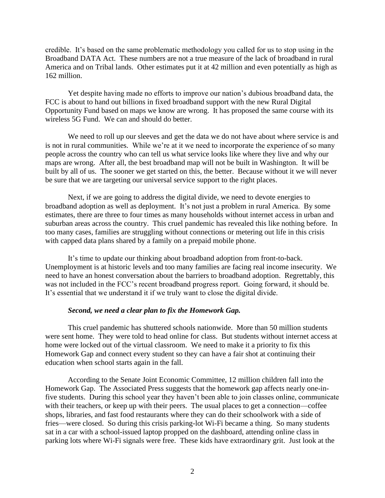credible. It's based on the same problematic methodology you called for us to stop using in the Broadband DATA Act. These numbers are not a true measure of the lack of broadband in rural America and on Tribal lands. Other estimates put it at 42 million and even potentially as high as 162 million.

Yet despite having made no efforts to improve our nation's dubious broadband data, the FCC is about to hand out billions in fixed broadband support with the new Rural Digital Opportunity Fund based on maps we know are wrong. It has proposed the same course with its wireless 5G Fund. We can and should do better.

We need to roll up our sleeves and get the data we do not have about where service is and is not in rural communities. While we're at it we need to incorporate the experience of so many people across the country who can tell us what service looks like where they live and why our maps are wrong. After all, the best broadband map will not be built in Washington. It will be built by all of us. The sooner we get started on this, the better. Because without it we will never be sure that we are targeting our universal service support to the right places.

Next, if we are going to address the digital divide, we need to devote energies to broadband adoption as well as deployment. It's not just a problem in rural America. By some estimates, there are three to four times as many households without internet access in urban and suburban areas across the country. This cruel pandemic has revealed this like nothing before. In too many cases, families are struggling without connections or metering out life in this crisis with capped data plans shared by a family on a prepaid mobile phone.

It's time to update our thinking about broadband adoption from front-to-back. Unemployment is at historic levels and too many families are facing real income insecurity. We need to have an honest conversation about the barriers to broadband adoption. Regrettably, this was not included in the FCC's recent broadband progress report. Going forward, it should be. It's essential that we understand it if we truly want to close the digital divide.

#### *Second, we need a clear plan to fix the Homework Gap.*

This cruel pandemic has shuttered schools nationwide. More than 50 million students were sent home. They were told to head online for class. But students without internet access at home were locked out of the virtual classroom. We need to make it a priority to fix this Homework Gap and connect every student so they can have a fair shot at continuing their education when school starts again in the fall.

According to the Senate Joint Economic Committee, 12 million children fall into the Homework Gap. The Associated Press suggests that the homework gap affects nearly one-infive students. During this school year they haven't been able to join classes online, communicate with their teachers, or keep up with their peers. The usual places to get a connection—coffee shops, libraries, and fast food restaurants where they can do their schoolwork with a side of fries—were closed. So during this crisis parking-lot Wi-Fi became a thing. So many students sat in a car with a school-issued laptop propped on the dashboard, attending online class in parking lots where Wi-Fi signals were free. These kids have extraordinary grit. Just look at the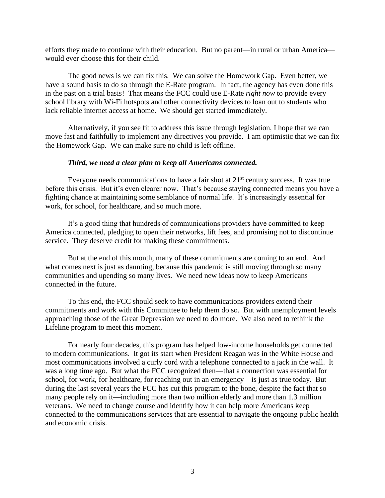efforts they made to continue with their education. But no parent—in rural or urban America would ever choose this for their child.

The good news is we can fix this. We can solve the Homework Gap. Even better, we have a sound basis to do so through the E-Rate program. In fact, the agency has even done this in the past on a trial basis! That means the FCC could use E-Rate *right now* to provide every school library with Wi-Fi hotspots and other connectivity devices to loan out to students who lack reliable internet access at home. We should get started immediately.

Alternatively, if you see fit to address this issue through legislation, I hope that we can move fast and faithfully to implement any directives you provide. I am optimistic that we can fix the Homework Gap. We can make sure no child is left offline.

#### *Third, we need a clear plan to keep all Americans connected.*

Everyone needs communications to have a fair shot at  $21<sup>st</sup>$  century success. It was true before this crisis. But it's even clearer now. That's because staying connected means you have a fighting chance at maintaining some semblance of normal life. It's increasingly essential for work, for school, for healthcare, and so much more.

It's a good thing that hundreds of communications providers have committed to keep America connected, pledging to open their networks, lift fees, and promising not to discontinue service. They deserve credit for making these commitments.

But at the end of this month, many of these commitments are coming to an end. And what comes next is just as daunting, because this pandemic is still moving through so many communities and upending so many lives. We need new ideas now to keep Americans connected in the future.

To this end, the FCC should seek to have communications providers extend their commitments and work with this Committee to help them do so. But with unemployment levels approaching those of the Great Depression we need to do more. We also need to rethink the Lifeline program to meet this moment.

For nearly four decades, this program has helped low-income households get connected to modern communications. It got its start when President Reagan was in the White House and most communications involved a curly cord with a telephone connected to a jack in the wall. It was a long time ago. But what the FCC recognized then—that a connection was essential for school, for work, for healthcare, for reaching out in an emergency—is just as true today. But during the last several years the FCC has cut this program to the bone, despite the fact that so many people rely on it—including more than two million elderly and more than 1.3 million veterans. We need to change course and identify how it can help more Americans keep connected to the communications services that are essential to navigate the ongoing public health and economic crisis.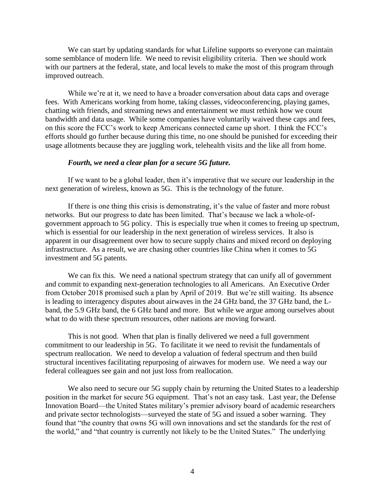We can start by updating standards for what Lifeline supports so everyone can maintain some semblance of modern life. We need to revisit eligibility criteria. Then we should work with our partners at the federal, state, and local levels to make the most of this program through improved outreach.

While we're at it, we need to have a broader conversation about data caps and overage fees. With Americans working from home, taking classes, videoconferencing, playing games, chatting with friends, and streaming news and entertainment we must rethink how we count bandwidth and data usage. While some companies have voluntarily waived these caps and fees, on this score the FCC's work to keep Americans connected came up short. I think the FCC's efforts should go further because during this time, no one should be punished for exceeding their usage allotments because they are juggling work, telehealth visits and the like all from home.

#### *Fourth, we need a clear plan for a secure 5G future.*

If we want to be a global leader, then it's imperative that we secure our leadership in the next generation of wireless, known as 5G. This is the technology of the future.

If there is one thing this crisis is demonstrating, it's the value of faster and more robust networks. But our progress to date has been limited. That's because we lack a whole-ofgovernment approach to 5G policy. This is especially true when it comes to freeing up spectrum, which is essential for our leadership in the next generation of wireless services. It also is apparent in our disagreement over how to secure supply chains and mixed record on deploying infrastructure. As a result, we are chasing other countries like China when it comes to 5G investment and 5G patents.

We can fix this. We need a national spectrum strategy that can unify all of government and commit to expanding next-generation technologies to all Americans. An Executive Order from October 2018 promised such a plan by April of 2019. But we're still waiting. Its absence is leading to interagency disputes about airwaves in the 24 GHz band, the 37 GHz band, the Lband, the 5.9 GHz band, the 6 GHz band and more. But while we argue among ourselves about what to do with these spectrum resources, other nations are moving forward.

This is not good. When that plan is finally delivered we need a full government commitment to our leadership in 5G. To facilitate it we need to revisit the fundamentals of spectrum reallocation. We need to develop a valuation of federal spectrum and then build structural incentives facilitating repurposing of airwaves for modern use. We need a way our federal colleagues see gain and not just loss from reallocation.

We also need to secure our 5G supply chain by returning the United States to a leadership position in the market for secure 5G equipment. That's not an easy task. Last year, the Defense Innovation Board—the United States military's premier advisory board of academic researchers and private sector technologists—surveyed the state of 5G and issued a sober warning. They found that "the country that owns 5G will own innovations and set the standards for the rest of the world," and "that country is currently not likely to be the United States." The underlying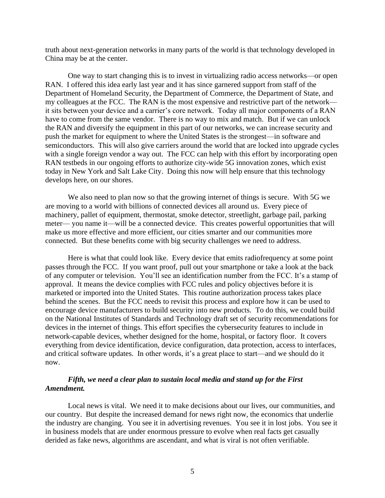truth about next-generation networks in many parts of the world is that technology developed in China may be at the center.

One way to start changing this is to invest in virtualizing radio access networks—or open RAN. I offered this idea early last year and it has since garnered support from staff of the Department of Homeland Security, the Department of Commerce, the Department of State, and my colleagues at the FCC. The RAN is the most expensive and restrictive part of the network it sits between your device and a carrier's core network. Today all major components of a RAN have to come from the same vendor. There is no way to mix and match. But if we can unlock the RAN and diversify the equipment in this part of our networks, we can increase security and push the market for equipment to where the United States is the strongest—in software and semiconductors. This will also give carriers around the world that are locked into upgrade cycles with a single foreign vendor a way out. The FCC can help with this effort by incorporating open RAN testbeds in our ongoing efforts to authorize city-wide 5G innovation zones, which exist today in New York and Salt Lake City. Doing this now will help ensure that this technology develops here, on our shores.

We also need to plan now so that the growing internet of things is secure. With 5G we are moving to a world with billions of connected devices all around us. Every piece of machinery, pallet of equipment, thermostat, smoke detector, streetlight, garbage pail, parking meter— you name it—will be a connected device. This creates powerful opportunities that will make us more effective and more efficient, our cities smarter and our communities more connected. But these benefits come with big security challenges we need to address.

Here is what that could look like. Every device that emits radiofrequency at some point passes through the FCC. If you want proof, pull out your smartphone or take a look at the back of any computer or television. You'll see an identification number from the FCC. It's a stamp of approval. It means the device complies with FCC rules and policy objectives before it is marketed or imported into the United States. This routine authorization process takes place behind the scenes. But the FCC needs to revisit this process and explore how it can be used to encourage device manufacturers to build security into new products. To do this, we could build on the National Institutes of Standards and Technology draft set of security recommendations for devices in the internet of things. This effort specifies the cybersecurity features to include in network-capable devices, whether designed for the home, hospital, or factory floor. It covers everything from device identification, device configuration, data protection, access to interfaces, and critical software updates. In other words, it's a great place to start—and we should do it now.

## *Fifth, we need a clear plan to sustain local media and stand up for the First Amendment.*

Local news is vital. We need it to make decisions about our lives, our communities, and our country. But despite the increased demand for news right now, the economics that underlie the industry are changing. You see it in advertising revenues. You see it in lost jobs. You see it in business models that are under enormous pressure to evolve when real facts get casually derided as fake news, algorithms are ascendant, and what is viral is not often verifiable.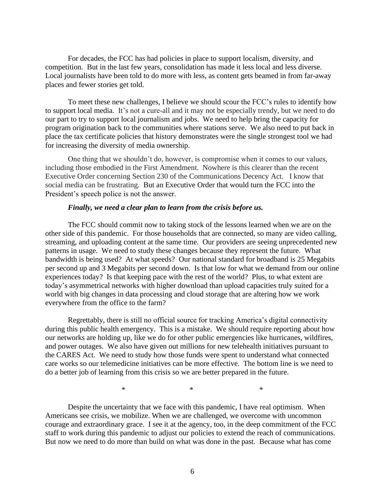For decades, the FCC has had policies in place to support localism, diversity, and competition. But in the last few years, consolidation has made it less local and less diverse. Local journalists have been told to do more with less, as content gets beamed in from far-away places and fewer stories get told.

To meet these new challenges, I believe we should scour the FCC's rules to identify how to support local media. It's not a cure-all and it may not be especially trendy, but we need to do our part to try to support local journalism and jobs. We need to help bring the capacity for program origination back to the communities where stations serve. We also need to put back in place the tax certificate policies that history demonstrates were the single strongest tool we had for increasing the diversity of media ownership.

One thing that we shouldn't do, however, is compromise when it comes to our values, including those embodied in the First Amendment. Nowhere is this clearer than the recent Executive Order concerning Section 230 of the Communications Decency Act. I know that social media can be frustrating. But an Executive Order that would turn the FCC into the President's speech police is not the answer.

### *Finally, we need a clear plan to learn from the crisis before us.*

The FCC should commit now to taking stock of the lessons learned when we are on the other side of this pandemic. For those households that are connected, so many are video calling, streaming, and uploading content at the same time. Our providers are seeing unprecedented new patterns in usage. We need to study these changes because they represent the future. What bandwidth is being used? At what speeds? Our national standard for broadband is 25 Megabits per second up and 3 Megabits per second down. Is that low for what we demand from our online experiences today? Is that keeping pace with the rest of the world? Plus, to what extent are today's asymmetrical networks with higher download than upload capacities truly suited for a world with big changes in data processing and cloud storage that are altering how we work everywhere from the office to the farm?

Regrettably, there is still no official source for tracking America's digital connectivity during this public health emergency. This is a mistake. We should require reporting about how our networks are holding up, like we do for other public emergencies like hurricanes, wildfires, and power outages. We also have given out millions for new telehealth initiatives pursuant to the CARES Act. We need to study how those funds were spent to understand what connected care works so our telemedicine initiatives can be more effective. The bottom line is we need to do a better job of learning from this crisis so we are better prepared in the future.

 $*$   $*$   $*$ 

Despite the uncertainty that we face with this pandemic, I have real optimism. When Americans see crisis, we mobilize. When we are challenged, we overcome with uncommon courage and extraordinary grace. I see it at the agency, too, in the deep commitment of the FCC staff to work during this pandemic to adjust our policies to extend the reach of communications. But now we need to do more than build on what was done in the past. Because what has come